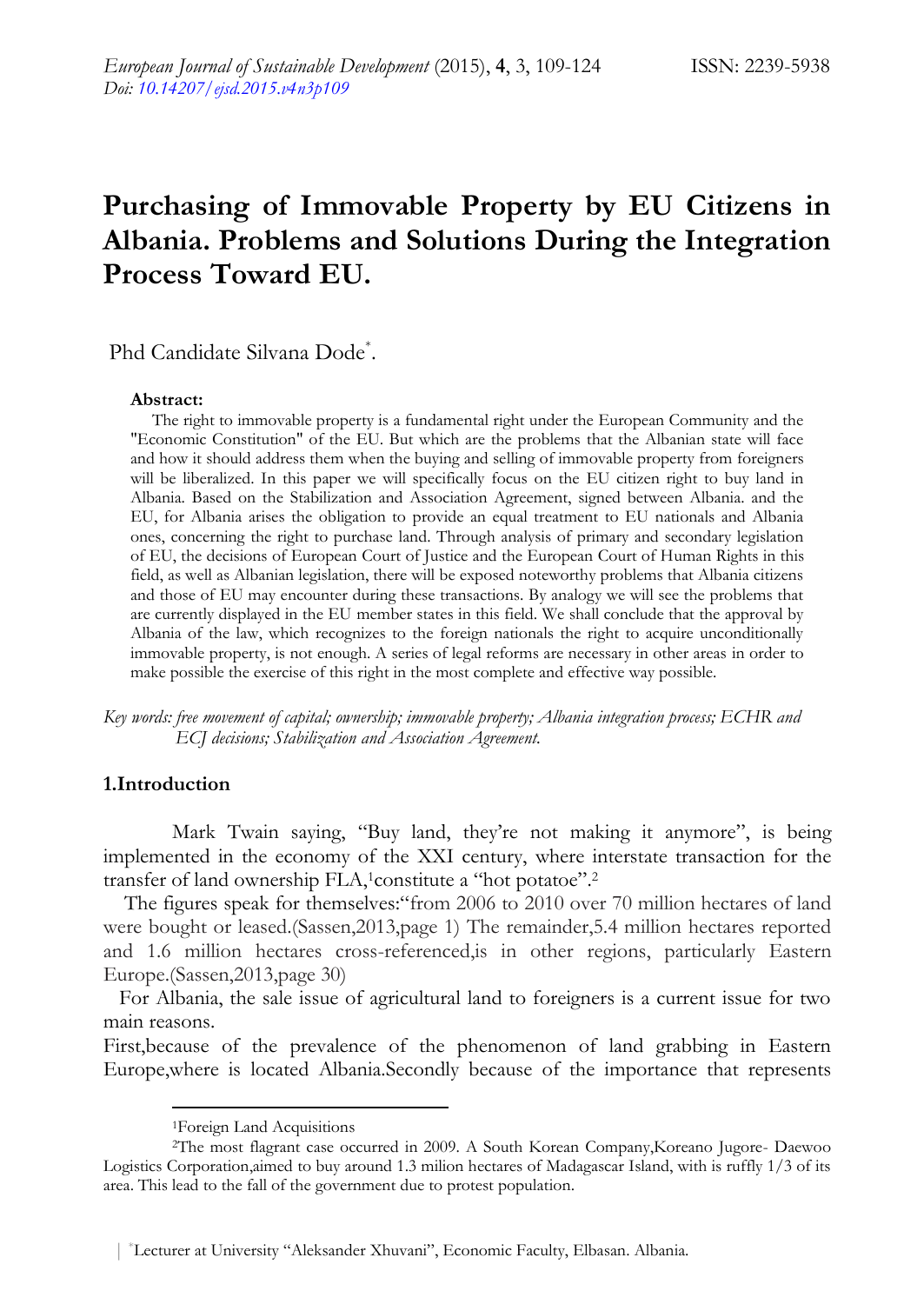# **Purchasing of Immovable Property by EU Citizens in Albania. Problems and Solutions During the Integration Process Toward EU.**

Phd Candidate Silvana Dode\* .

#### **Abstract:**

 The right to immovable property is a fundamental right under the European Community and the "Economic Constitution" of the EU. But which are the problems that the Albanian state will face and how it should address them when the buying and selling of immovable property from foreigners will be liberalized. In this paper we will specifically focus on the EU citizen right to buy land in Albania. Based on the Stabilization and Association Agreement, signed between Albania. and the EU, for Albania arises the obligation to provide an equal treatment to EU nationals and Albania ones, concerning the right to purchase land. Through analysis of primary and secondary legislation of EU, the decisions of European Court of Justice and the European Court of Human Rights in this field, as well as Albanian legislation, there will be exposed noteworthy problems that Albania citizens and those of EU may encounter during these transactions. By analogy we will see the problems that are currently displayed in the EU member states in this field. We shall conclude that the approval by Albania of the law, which recognizes to the foreign nationals the right to acquire unconditionally immovable property, is not enough. A series of legal reforms are necessary in other areas in order to make possible the exercise of this right in the most complete and effective way possible.

*Key words: free movement of capital; ownership; immovable property; Albania integration process; ECHR and ECJ decisions; Stabilization and Association Agreement.*

## **1.Introduction**

-

Mark Twain saying, "Buy land, they're not making it anymore", is being implemented in the economy of the XXI century, where interstate transaction for the transfer of land ownership FLA,<sup>1</sup>constitute a "hot potatoe".<sup>2</sup>

The figures speak for themselves: "from 2006 to 2010 over 70 million hectares of land were bought or leased.(Sassen,2013,page 1) The remainder,5.4 million hectares reported and 1.6 million hectares cross-referenced,is in other regions, particularly Eastern Europe.(Sassen,2013,page 30)

 For Albania, the sale issue of agricultural land to foreigners is a current issue for two main reasons.

First,because of the prevalence of the phenomenon of land grabbing in Eastern Europe,where is located Albania.Secondly because of the importance that represents

<sup>1</sup>Foreign Land Acquisitions

<sup>2</sup>The most flagrant case occurred in 2009. A South Korean Company,Koreano Jugore- Daewoo Logistics Corporation,aimed to buy around 1.3 milion hectares of Madagascar Island, with is ruffly 1/3 of its area. This lead to the fall of the government due to protest population.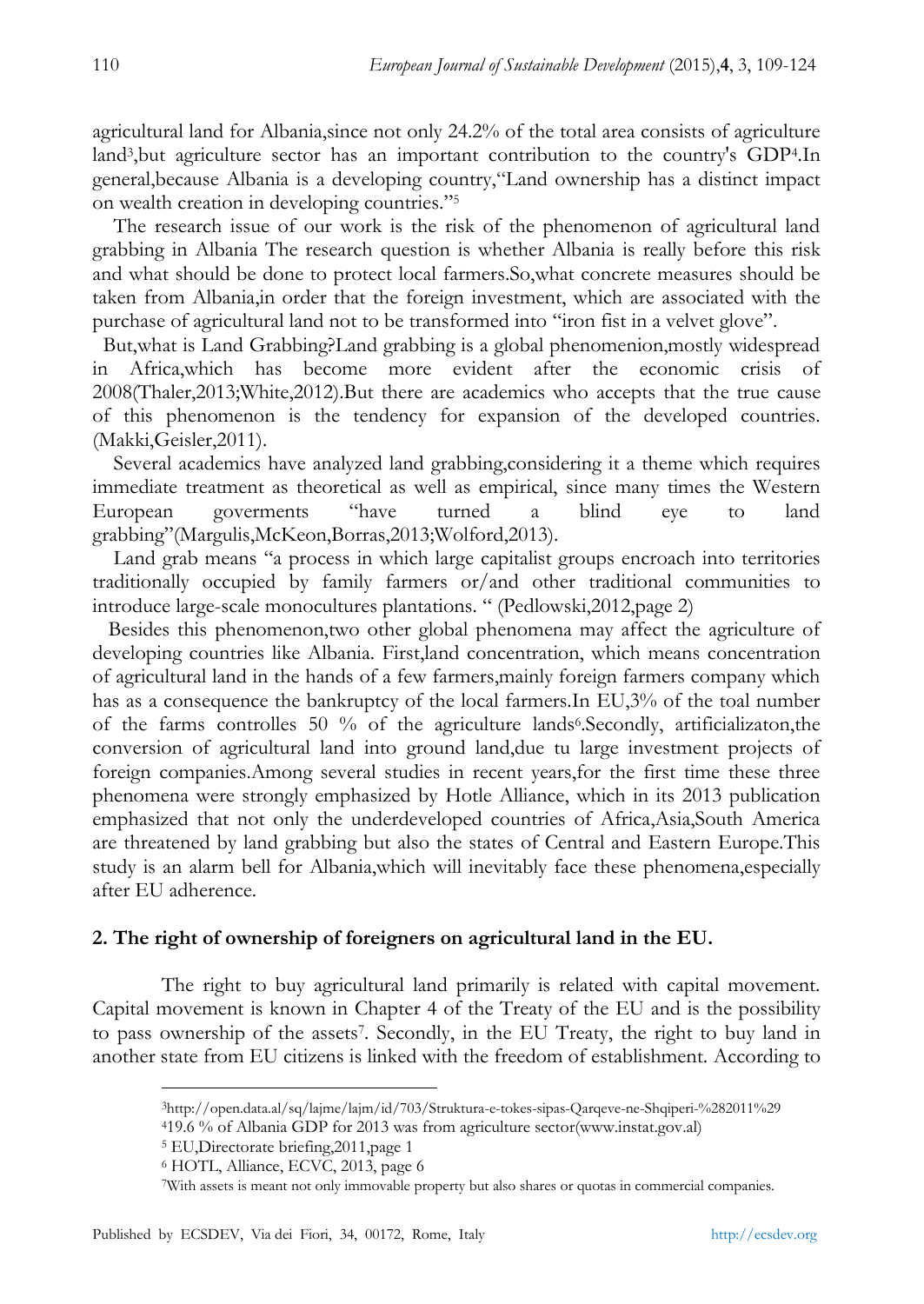agricultural land for Albania,since not only 24.2% of the total area consists of agriculture land<sup>3</sup> ,but agriculture sector has an important contribution to the country's GDP<sup>4</sup> .In general, because Albania is a developing country, "Land ownership has a distinct impact on wealth creation in developing countries."<sup>5</sup>

 The research issue of our work is the risk of the phenomenon of agricultural land grabbing in Albania The research question is whether Albania is really before this risk and what should be done to protect local farmers.So,what concrete measures should be taken from Albania,in order that the foreign investment, which are associated with the purchase of agricultural land not to be transformed into "iron fist in a velvet glove".

 But,what is Land Grabbing?Land grabbing is a global phenomenion,mostly widespread in Africa,which has become more evident after the economic crisis of 2008(Thaler,2013;White,2012).But there are academics who accepts that the true cause of this phenomenon is the tendency for expansion of the developed countries. (Makki,Geisler,2011).

 Several academics have analyzed land grabbing,considering it a theme which requires immediate treatment as theoretical as well as empirical, since many times the Western European goverments "have turned a blind eye to land grabbing"(Margulis,McKeon,Borras,2013;Wolford,2013).

Land grab means "a process in which large capitalist groups encroach into territories traditionally occupied by family farmers or/and other traditional communities to introduce large-scale monocultures plantations. " (Pedlowski, 2012, page 2)

 Besides this phenomenon,two other global phenomena may affect the agriculture of developing countries like Albania. First,land concentration, which means concentration of agricultural land in the hands of a few farmers,mainly foreign farmers company which has as a consequence the bankruptcy of the local farmers.In EU,3% of the toal number of the farms controlles 50 % of the agriculture lands<sup>6</sup>. Secondly, artificializaton, the conversion of agricultural land into ground land,due tu large investment projects of foreign companies.Among several studies in recent years,for the first time these three phenomena were strongly emphasized by Hotle Alliance, which in its 2013 publication emphasized that not only the underdeveloped countries of Africa,Asia,South America are threatened by land grabbing but also the states of Central and Eastern Europe.This study is an alarm bell for Albania,which will inevitably face these phenomena,especially after EU adherence.

## **2. The right of ownership of foreigners on agricultural land in the EU.**

The right to buy agricultural land primarily is related with capital movement. Capital movement is known in Chapter 4 of the Treaty of the EU and is the possibility to pass ownership of the assets<sup>7</sup>. Secondly, in the EU Treaty, the right to buy land in another state from EU citizens is linked with the freedom of establishment. According to

<sup>4</sup>19.6 % of Albania GDP for 2013 was from agriculture sector(www.instat.gov.al)

<sup>5</sup> EU,Directorate briefing,2011,page 1

<sup>3</sup>http://open.data.al/sq/lajme/lajm/id/703/Struktura-e-tokes-sipas-Qarqeve-ne-Shqiperi-%282011%29

<sup>6</sup> HOTL, Alliance, ECVC, 2013, page 6

<sup>7</sup>With assets is meant not only immovable property but also shares or quotas in commercial companies.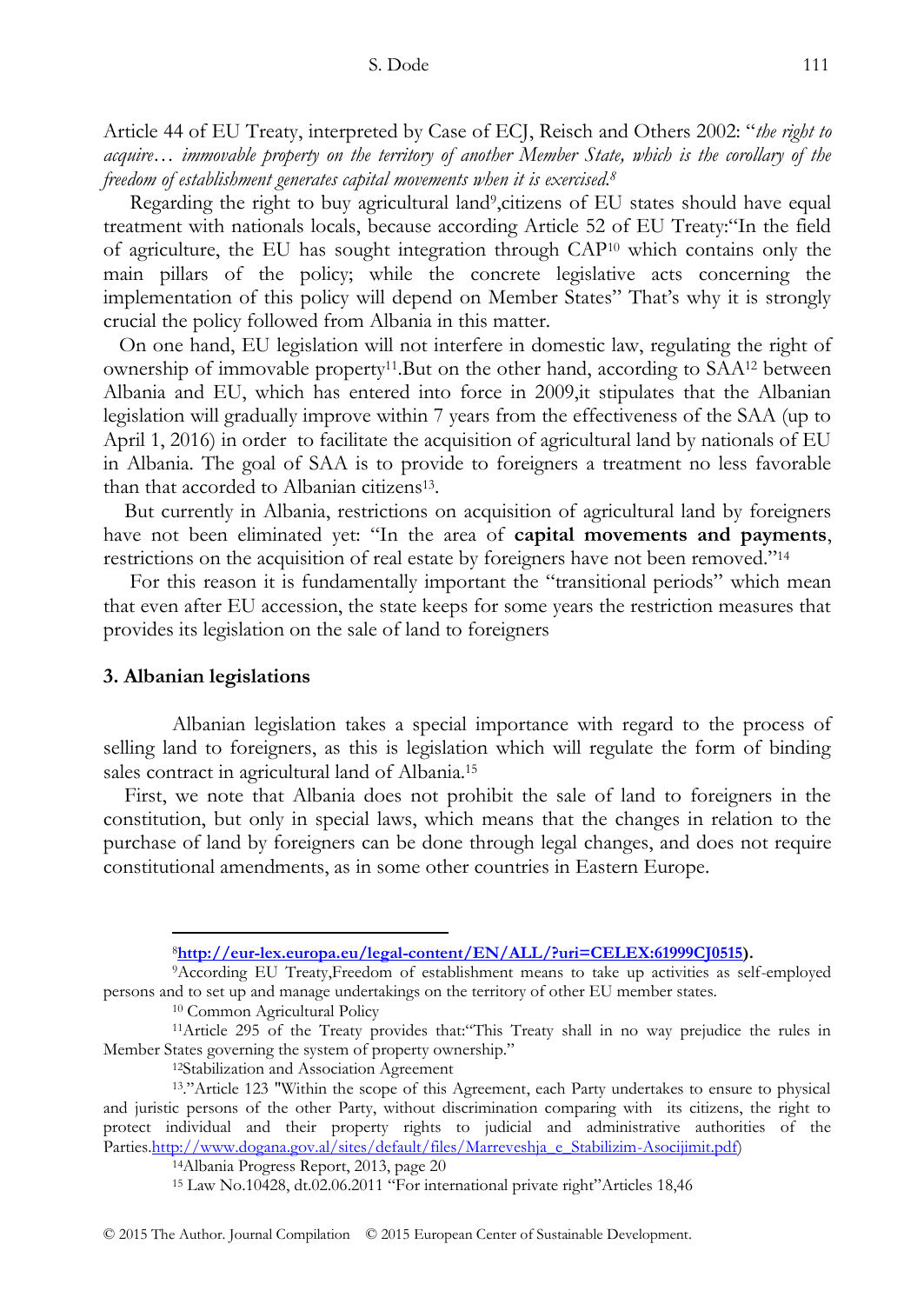Article 44 of EU Treaty, interpreted by Case of ECJ, Reisch and Others 2002: "*the right to acquire… immovable property on the territory of another Member State, which is the corollary of the freedom of establishment generates capital movements when it is exercised.<sup>8</sup>*

Regarding the right to buy agricultural land<sup>9</sup>, citizens of EU states should have equal treatment with nationals locals, because according Article 52 of EU Treaty: "In the field of agriculture, the EU has sought integration through  $CAP^{10}$  which contains only the main pillars of the policy; while the concrete legislative acts concerning the implementation of this policy will depend on Member States" That's why it is strongly crucial the policy followed from Albania in this matter.

 On one hand, EU legislation will not interfere in domestic law, regulating the right of ownership of immovable property11.But on the other hand, according to SAA<sup>12</sup> between Albania and EU, which has entered into force in 2009,it stipulates that the Albanian legislation will gradually improve within 7 years from the effectiveness of the SAA (up to April 1, 2016) in order to facilitate the acquisition of agricultural land by nationals of EU in Albania. The goal of SAA is to provide to foreigners a treatment no less favorable than that accorded to Albanian citizens<sup>13</sup>.

 But currently in Albania, restrictions on acquisition of agricultural land by foreigners have not been eliminated yet: "In the area of **capital movements and payments**, restrictions on the acquisition of real estate by foreigners have not been removed.<sup>214</sup>

For this reason it is fundamentally important the "transitional periods" which mean that even after EU accession, the state keeps for some years the restriction measures that provides its legislation on the sale of land to foreigners

## **3. Albanian legislations**

-

Albanian legislation takes a special importance with regard to the process of selling land to foreigners, as this is legislation which will regulate the form of binding sales contract in agricultural land of Albania.<sup>15</sup>

 First, we note that Albania does not prohibit the sale of land to foreigners in the constitution, but only in special laws, which means that the changes in relation to the purchase of land by foreigners can be done through legal changes, and does not require constitutional amendments, as in some other countries in Eastern Europe.

<sup>10</sup> Common Agricultural Policy

<sup>12</sup>Stabilization and Association Agreement

<sup>8</sup>**[http://eur-lex.europa.eu/legal-content/EN/ALL/?uri=CELEX:61999CJ0515\)](http://eur-lex.europa.eu/legal-content/EN/ALL/?uri=CELEX:61999CJ0515).**

<sup>9</sup>According EU Treaty,Freedom of establishment means to take up activities as self-employed persons and to set up and manage undertakings on the territory of other EU member states.

<sup>&</sup>lt;sup>11</sup>Article 295 of the Treaty provides that: "This Treaty shall in no way prejudice the rules in Member States governing the system of property ownership."

<sup>13.&</sup>quot;Article 123 "Within the scope of this Agreement, each Party undertakes to ensure to physical and juristic persons of the other Party, without discrimination comparing with its citizens, the right to protect individual and their property rights to judicial and administrative authorities of the Partie[s.http://www.dogana.gov.al/sites/default/files/Marreveshja\\_e\\_Stabilizim-Asocijimit.pdf\)](http://www.dogana.gov.al/sites/default/files/Marreveshja_e_Stabilizim-Asocijimit.pdf)

<sup>14</sup>Albania Progress Report, 2013, page 20

<sup>&</sup>lt;sup>15</sup> Law No.10428, dt.02.06.2011 "For international private right"Articles 18,46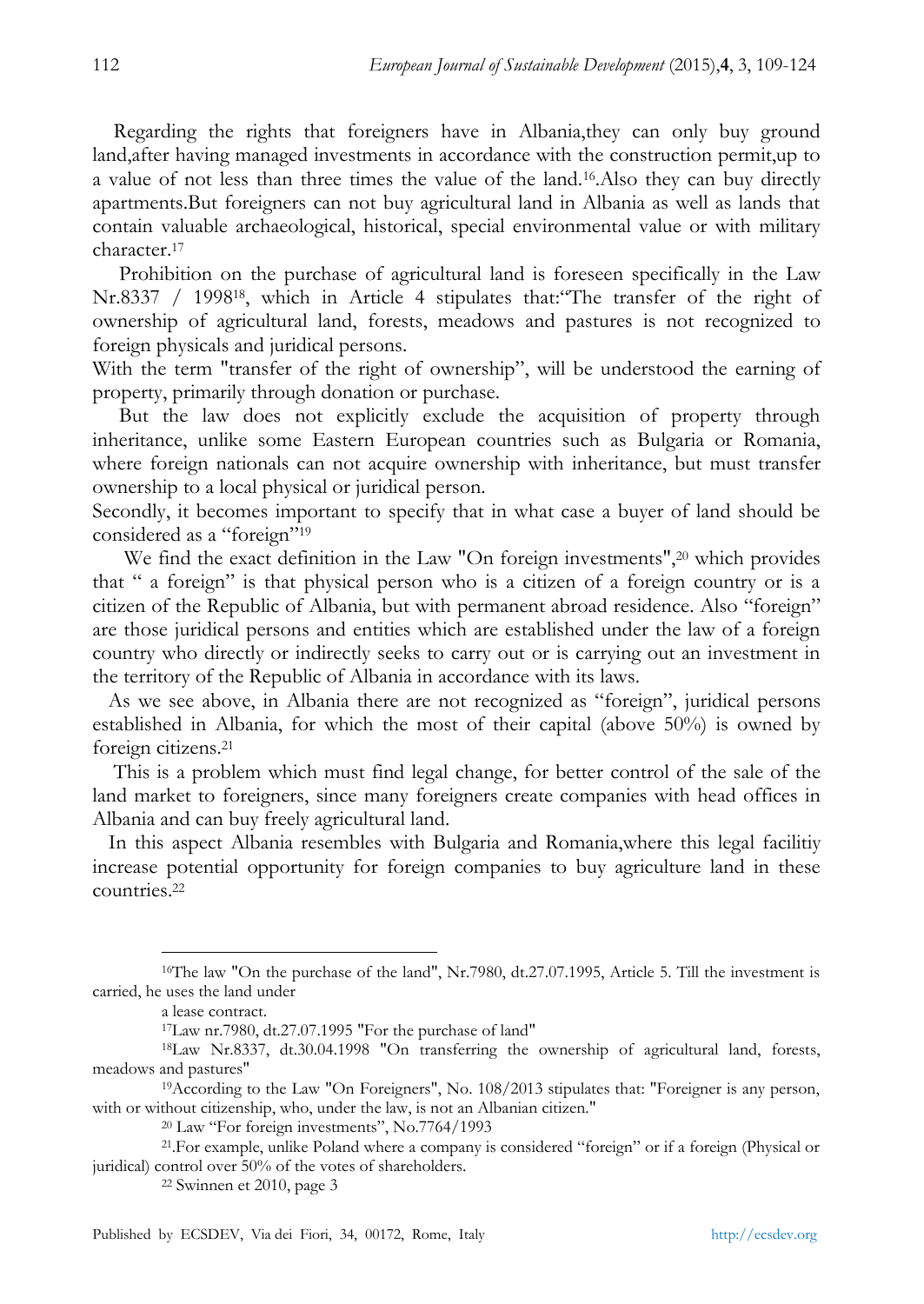Regarding the rights that foreigners have in Albania,they can only buy ground land,after having managed investments in accordance with the construction permit,up to a value of not less than three times the value of the land.16.Also they can buy directly apartments.But foreigners can not buy agricultural land in Albania as well as lands that contain valuable archaeological, historical, special environmental value or with military character.<sup>17</sup>

 Prohibition on the purchase of agricultural land is foreseen specifically in the Law  $Nr.8337$  / 1998<sup>18</sup>, which in Article 4 stipulates that: The transfer of the right of ownership of agricultural land, forests, meadows and pastures is not recognized to foreign physicals and juridical persons.

With the term "transfer of the right of ownership", will be understood the earning of property, primarily through donation or purchase.

 But the law does not explicitly exclude the acquisition of property through inheritance, unlike some Eastern European countries such as Bulgaria or Romania, where foreign nationals can not acquire ownership with inheritance, but must transfer ownership to a local physical or juridical person.

Secondly, it becomes important to specify that in what case a buyer of land should be considered as a "foreign"<sup>19</sup>

We find the exact definition in the Law "On foreign investments",<sup>20</sup> which provides that " a foreign" is that physical person who is a citizen of a foreign country or is a citizen of the Republic of Albania, but with permanent abroad residence. Also "foreign" are those juridical persons and entities which are established under the law of a foreign country who directly or indirectly seeks to carry out or is carrying out an investment in the territory of the Republic of Albania in accordance with its laws.

As we see above, in Albania there are not recognized as "foreign", juridical persons established in Albania, for which the most of their capital (above 50%) is owned by foreign citizens.<sup>21</sup>

 This is a problem which must find legal change, for better control of the sale of the land market to foreigners, since many foreigners create companies with head offices in Albania and can buy freely agricultural land.

 In this aspect Albania resembles with Bulgaria and Romania,where this legal facilitiy increase potential opportunity for foreign companies to buy agriculture land in these countries.<sup>22</sup>

-

<sup>22</sup> Swinnen et 2010, page 3

<sup>16</sup>The law "On the purchase of the land", Nr.7980, dt.27.07.1995, Article 5. Till the investment is carried, he uses the land under

a lease contract.

<sup>17</sup>Law nr.7980, dt.27.07.1995 "For the purchase of land"

<sup>18</sup>Law Nr.8337, dt.30.04.1998 "On transferring the ownership of agricultural land, forests, meadows and pastures"

<sup>19</sup>According to the Law "On Foreigners", No. 108/2013 stipulates that: "Foreigner is any person, with or without citizenship, who, under the law, is not an Albanian citizen."

<sup>&</sup>lt;sup>20</sup> Law "For foreign investments", No.7764/1993

<sup>&</sup>lt;sup>21</sup>. For example, unlike Poland where a company is considered "foreign" or if a foreign (Physical or juridical) control over 50% of the votes of shareholders.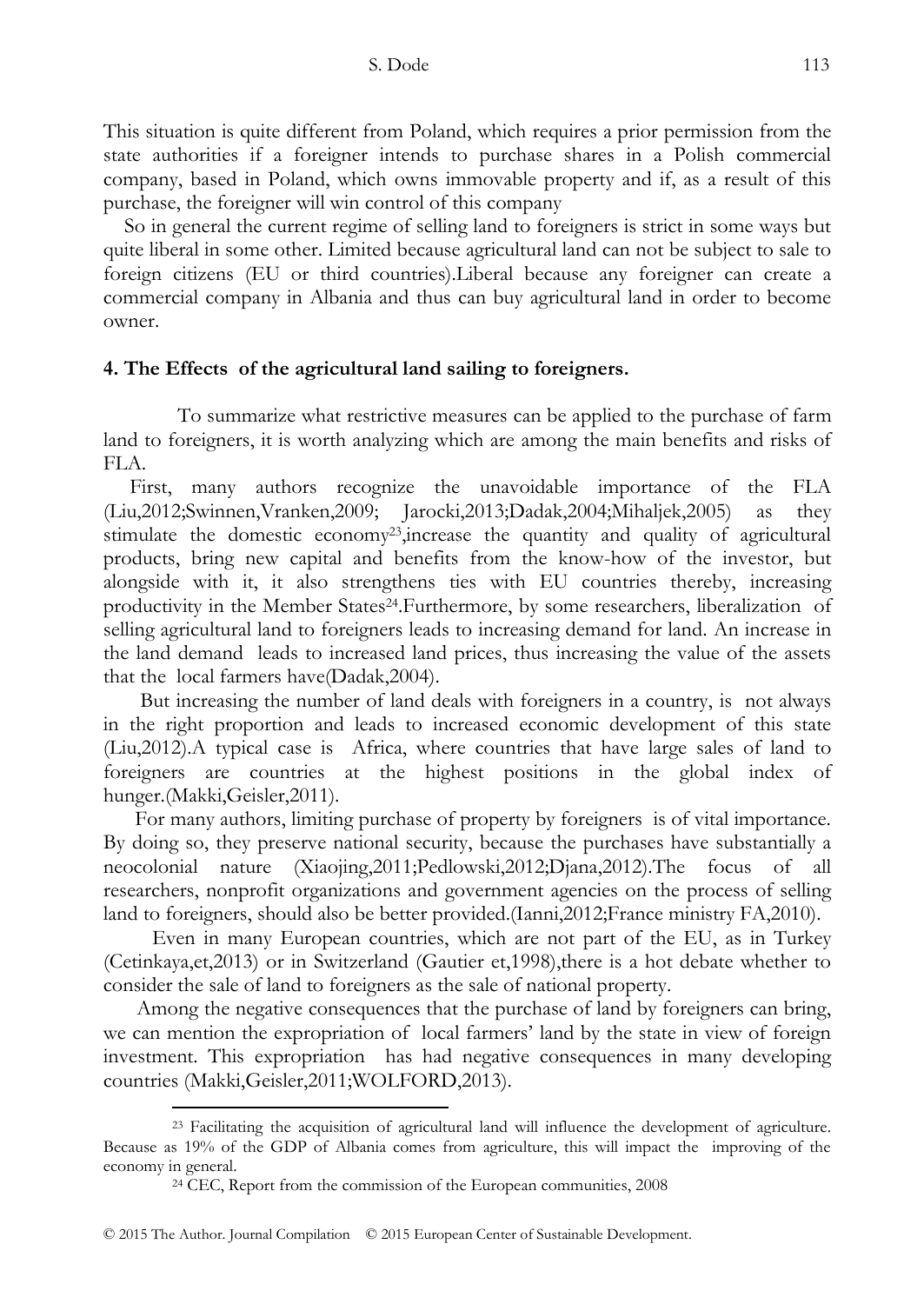This situation is quite different from Poland, which requires a prior permission from the state authorities if a foreigner intends to purchase shares in a Polish commercial company, based in Poland, which owns immovable property and if, as a result of this purchase, the foreigner will win control of this company

 So in general the current regime of selling land to foreigners is strict in some ways but quite liberal in some other. Limited because agricultural land can not be subject to sale to foreign citizens (EU or third countries).Liberal because any foreigner can create a commercial company in Albania and thus can buy agricultural land in order to become owner.

## **4. The Effects of the agricultural land sailing to foreigners.**

To summarize what restrictive measures can be applied to the purchase of farm land to foreigners, it is worth analyzing which are among the main benefits and risks of FLA.

 First, many authors recognize the unavoidable importance of the FLA (Liu,2012;Swinnen,Vranken,2009; Jarocki,2013;Dadak,2004;Mihaljek,2005) as they stimulate the domestic economy23,increase the quantity and quality of agricultural products, bring new capital and benefits from the know-how of the investor, but alongside with it, it also strengthens ties with EU countries thereby, increasing productivity in the Member States24.Furthermore, by some researchers, liberalization of selling agricultural land to foreigners leads to increasing demand for land. An increase in the land demand leads to increased land prices, thus increasing the value of the assets that the local farmers have(Dadak,2004).

 But increasing the number of land deals with foreigners in a country, is not always in the right proportion and leads to increased economic development of this state (Liu,2012).A typical case is Africa, where countries that have large sales of land to foreigners are countries at the highest positions in the global index of hunger.(Makki,Geisler,2011).

 For many authors, limiting purchase of property by foreigners is of vital importance. By doing so, they preserve national security, because the purchases have substantially a neocolonial nature (Xiaojing,2011;Pedlowski,2012;Djana,2012).The focus of all researchers, nonprofit organizations and government agencies on the process of selling land to foreigners, should also be better provided.(Ianni,2012;France ministry FA,2010).

 Even in many European countries, which are not part of the EU, as in Turkey (Cetinkaya,et,2013) or in Switzerland (Gautier et,1998),there is a hot debate whether to consider the sale of land to foreigners as the sale of national property.

 Among the negative consequences that the purchase of land by foreigners can bring, we can mention the expropriation of local farmers' land by the state in view of foreign investment. This expropriation has had negative consequences in many developing countries (Makki,Geisler,2011;WOLFORD,2013).

<sup>23</sup> Facilitating the acquisition of agricultural land will influence the development of agriculture. Because as 19% of the GDP of Albania comes from agriculture, this will impact the improving of the economy in general.

<sup>24</sup> CEC, Report from the commission of the European communities, 2008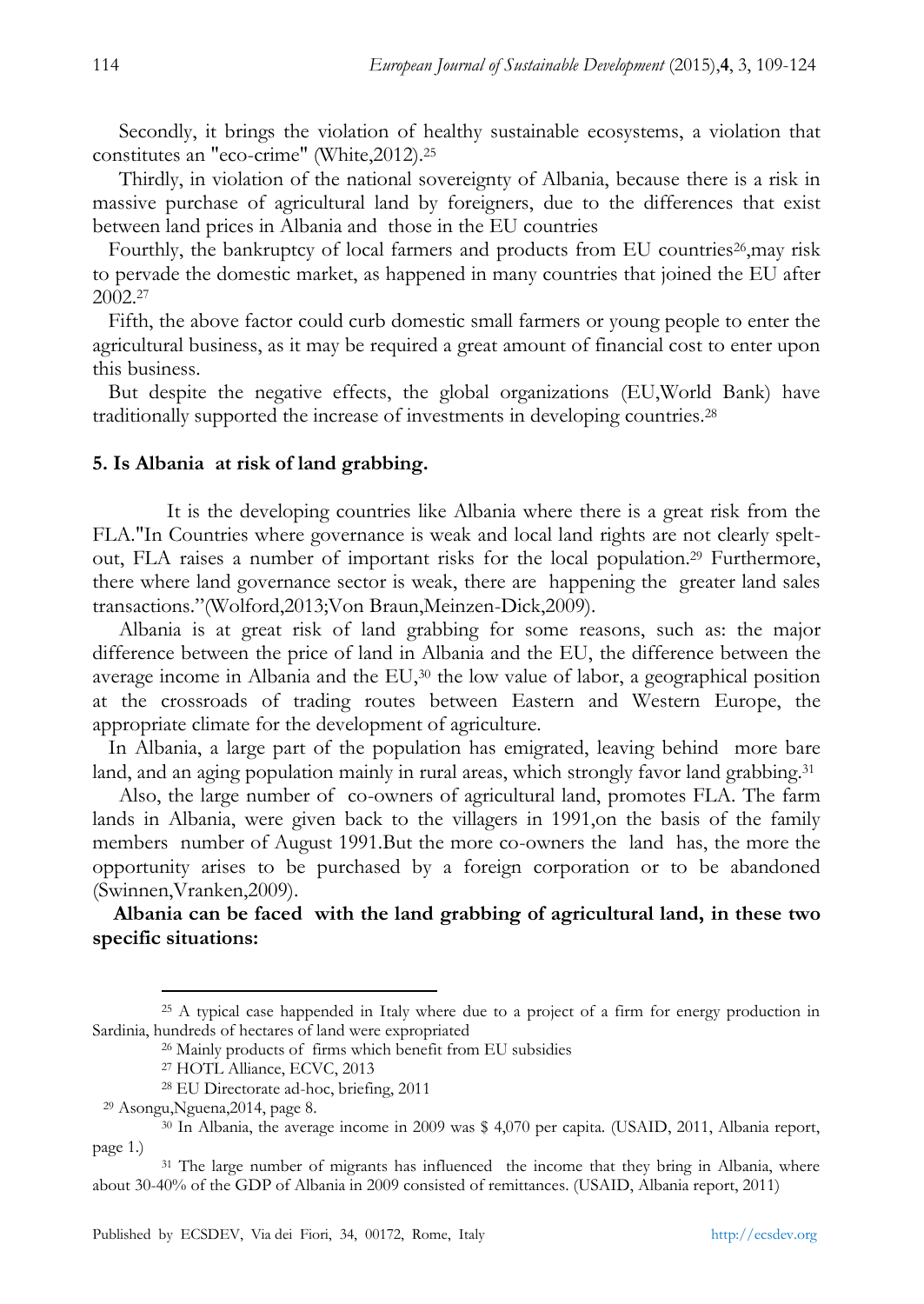Secondly, it brings the violation of healthy sustainable ecosystems, a violation that constitutes an "eco-crime" (White,2012).<sup>25</sup>

 Thirdly, in violation of the national sovereignty of Albania, because there is a risk in massive purchase of agricultural land by foreigners, due to the differences that exist between land prices in Albania and those in the EU countries

Fourthly, the bankruptcy of local farmers and products from EU countries<sup>26</sup>,may risk to pervade the domestic market, as happened in many countries that joined the EU after 2002. 27

Fifth, the above factor could curb domestic small farmers or young people to enter the agricultural business, as it may be required a great amount of financial cost to enter upon this business.

 But despite the negative effects, the global organizations (EU,World Bank) have traditionally supported the increase of investments in developing countries.<sup>28</sup>

## **5. Is Albania at risk of land grabbing.**

It is the developing countries like Albania where there is a great risk from the FLA."In Countries where governance is weak and local land rights are not clearly speltout, FLA raises a number of important risks for the local population.<sup>29</sup> Furthermore, there where land governance sector is weak, there are happening the greater land sales transactions."(Wolford,2013;Von Braun,Meinzen-Dick,2009).

 Albania is at great risk of land grabbing for some reasons, such as: the major difference between the price of land in Albania and the EU, the difference between the average income in Albania and the EU,<sup>30</sup> the low value of labor, a geographical position at the crossroads of trading routes between Eastern and Western Europe, the appropriate climate for the development of agriculture.

 In Albania, a large part of the population has emigrated, leaving behind more bare land, and an aging population mainly in rural areas, which strongly favor land grabbing.<sup>31</sup>

 Also, the large number of co-owners of agricultural land, promotes FLA. The farm lands in Albania, were given back to the villagers in 1991,on the basis of the family members number of August 1991.But the more co-owners the land has, the more the opportunity arises to be purchased by a foreign corporation or to be abandoned (Swinnen,Vranken,2009).

## **Albania can be faced with the land grabbing of agricultural land, in these two specific situations:**

<sup>&</sup>lt;sup>25</sup> A typical case happended in Italy where due to a project of a firm for energy production in Sardinia, hundreds of hectares of land were expropriated

<sup>26</sup> Mainly products of firms which benefit from EU subsidies

<sup>27</sup> HOTL Alliance, ECVC, 2013

<sup>28</sup> EU Directorate ad-hoc, briefing, 2011

<sup>29</sup> Asongu,Nguena,2014, page 8.

<sup>30</sup> In Albania, the average income in 2009 was \$ 4,070 per capita. (USAID, 2011, Albania report, page 1.)

<sup>&</sup>lt;sup>31</sup> The large number of migrants has influenced the income that they bring in Albania, where about 30-40% of the GDP of Albania in 2009 consisted of remittances. (USAID, Albania report, 2011)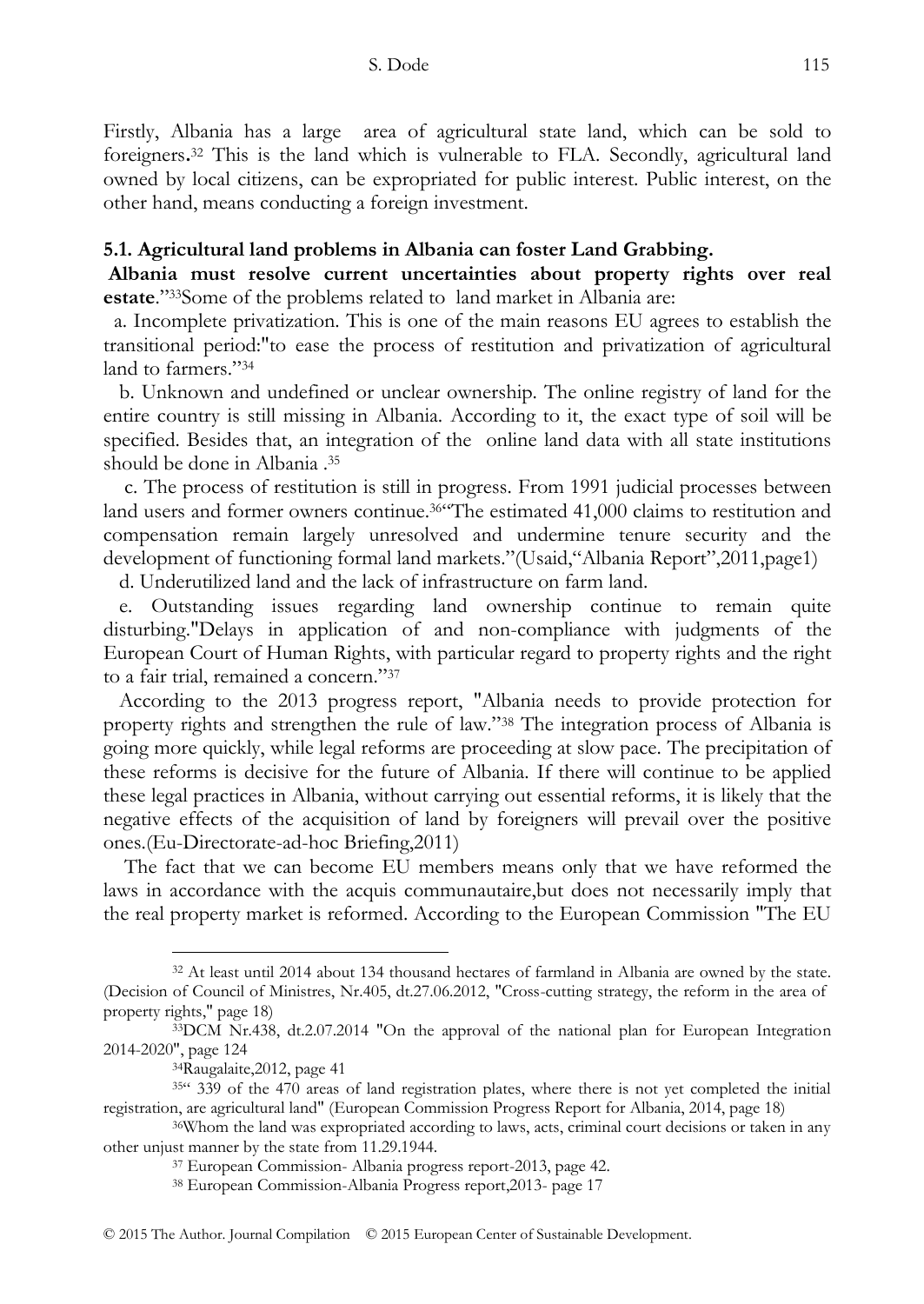Firstly, Albania has a large area of agricultural state land, which can be sold to foreigners**.** <sup>32</sup> This is the land which is vulnerable to FLA. Secondly, agricultural land owned by local citizens, can be expropriated for public interest. Public interest, on the other hand, means conducting a foreign investment.

## **5.1. Agricultural land problems in Albania can foster Land Grabbing.**

**Albania must resolve current uncertainties about property rights over real**  estate."<sup>33</sup>Some of the problems related to land market in Albania are:

 a. Incomplete privatization. This is one of the main reasons EU agrees to establish the transitional period:"to ease the process of restitution and privatization of agricultural land to farmers."34

 b. Unknown and undefined or unclear ownership. The online registry of land for the entire country is still missing in Albania. According to it, the exact type of soil will be specified. Besides that, an integration of the online land data with all state institutions should be done in Albania .<sup>35</sup>

 c. The process of restitution is still in progress. From 1991 judicial processes between land users and former owners continue.<sup>36"</sup>The estimated 41,000 claims to restitution and compensation remain largely unresolved and undermine tenure security and the development of functioning formal land markets."(Usaid,"Albania Report",2011,page1)

d. Underutilized land and the lack of infrastructure on farm land.

 e. Outstanding issues regarding land ownership continue to remain quite disturbing."Delays in application of and non-compliance with judgments of the European Court of Human Rights, with particular regard to property rights and the right to a fair trial, remained a concern."37

 According to the 2013 progress report, "Albania needs to provide protection for property rights and strengthen the rule of law."<sup>38</sup> The integration process of Albania is going more quickly, while legal reforms are proceeding at slow pace. The precipitation of these reforms is decisive for the future of Albania. If there will continue to be applied these legal practices in Albania, without carrying out essential reforms, it is likely that the negative effects of the acquisition of land by foreigners will prevail over the positive ones.(Eu-Directorate-ad-hoc Briefing,2011)

 The fact that we can become EU members means only that we have reformed the laws in accordance with the acquis communautaire,but does not necessarily imply that the real property market is reformed. According to the European Commission "The EU

<sup>32</sup> At least until 2014 about 134 thousand hectares of farmland in Albania are owned by the state. (Decision of Council of Ministres, Nr.405, dt.27.06.2012, "Cross-cutting strategy, the reform in the area of property rights," page 18)

<sup>33</sup>DCM Nr.438, dt.2.07.2014 "On the approval of the national plan for European Integration 2014-2020", page 124

<sup>34</sup>Raugalaite,2012, page 41

<sup>35&</sup>lt;sup>cc</sup> 339 of the 470 areas of land registration plates, where there is not yet completed the initial registration, are agricultural land" (European Commission Progress Report for Albania, 2014, page 18)

<sup>36</sup>Whom the land was expropriated according to laws, acts, criminal court decisions or taken in any other unjust manner by the state from 11.29.1944.

<sup>37</sup> European Commission- Albania progress report-2013, page 42.

<sup>38</sup> European Commission-Albania Progress report,2013- page 17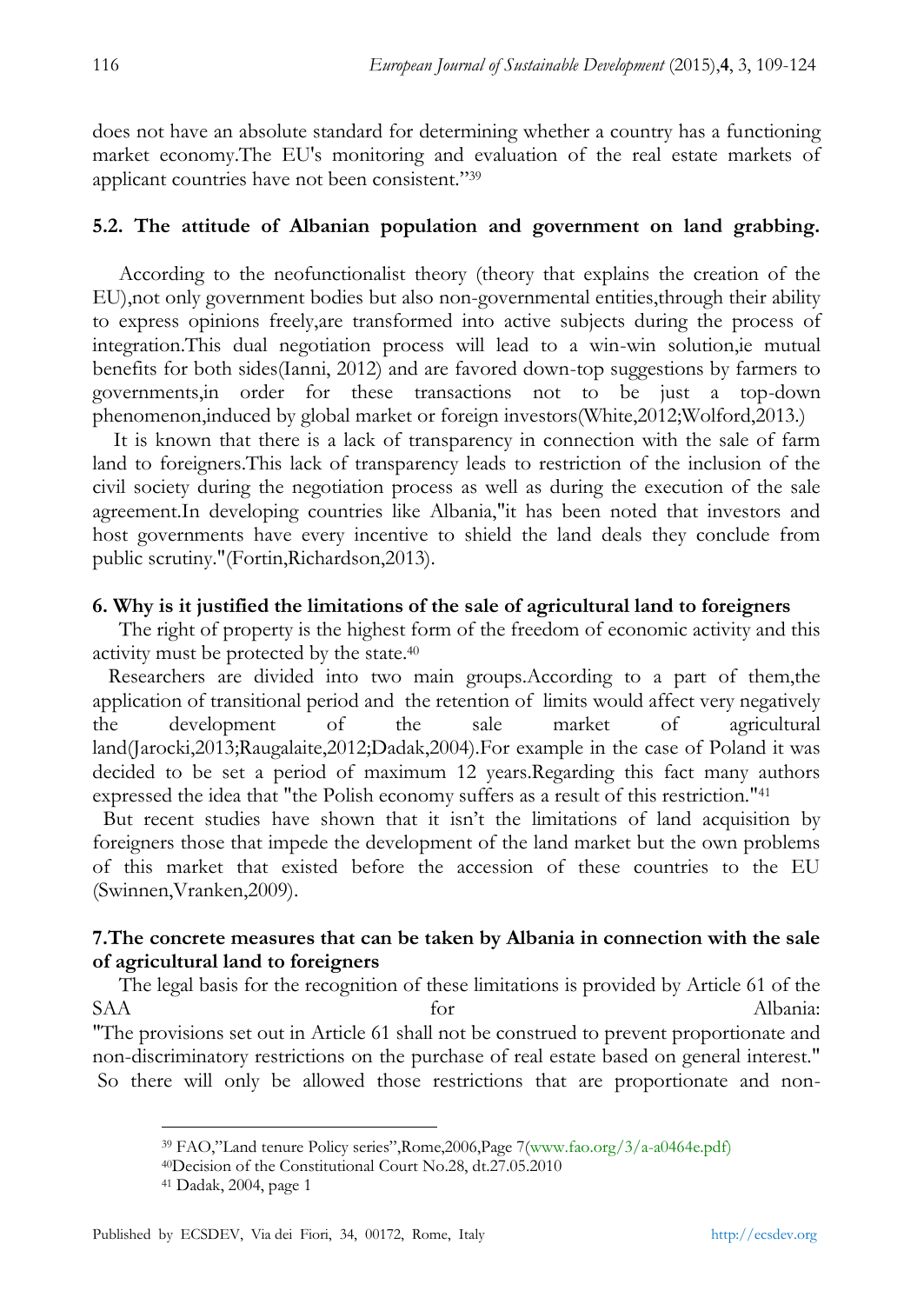does not have an absolute standard for determining whether a country has a functioning market economy.The EU's monitoring and evaluation of the real estate markets of applicant countries have not been consistent."39

# **5.2. The attitude of Albanian population and government on land grabbing.**

 According to the neofunctionalist theory (theory that explains the creation of the EU),not only government bodies but also non-governmental entities,through their ability to express opinions freely,are transformed into active subjects during the process of integration.This dual negotiation process will lead to a win-win solution,ie mutual benefits for both sides(Ianni, 2012) and are favored down-top suggestions by farmers to governments,in order for these transactions not to be just a top-down phenomenon,induced by global market or foreign investors(White,2012;Wolford,2013.)

 It is known that there is a lack of transparency in connection with the sale of farm land to foreigners.This lack of transparency leads to restriction of the inclusion of the civil society during the negotiation process as well as during the execution of the sale agreement.In developing countries like Albania,"it has been noted that investors and host governments have every incentive to shield the land deals they conclude from public scrutiny."(Fortin,Richardson,2013).

# **6. Why is it justified the limitations of the sale of agricultural land to foreigners**

The right of property is the highest form of the freedom of economic activity and this activity must be protected by the state.<sup>40</sup>

Researchers are divided into two main groups.According to a part of them,the application of transitional period and the retention of limits would affect very negatively the development of the sale market of agricultural land(Jarocki,2013;Raugalaite,2012;Dadak,2004).For example in the case of Poland it was decided to be set a period of maximum 12 years.Regarding this fact many authors expressed the idea that "the Polish economy suffers as a result of this restriction."<sup>41</sup>

 But recent studies have shown that it isn't the limitations of land acquisition by foreigners those that impede the development of the land market but the own problems of this market that existed before the accession of these countries to the EU (Swinnen,Vranken,2009).

# **7.The concrete measures that can be taken by Albania in connection with the sale of agricultural land to foreigners**

The legal basis for the recognition of these limitations is provided by Article 61 of the SAA for Albania: "The provisions set out in Article 61 shall not be construed to prevent proportionate and non-discriminatory restrictions on the purchase of real estate based on general interest." So there will only be allowed those restrictions that are proportionate and non-

<sup>&</sup>lt;sup>39</sup> FAO,"Land tenure Policy series",Rome,2006,Page 7(www.fao.org/3/a-a0464e.pdf)

<sup>40</sup>Decision of the Constitutional Court No.28, dt.27.05.2010

<sup>41</sup> Dadak, 2004, page 1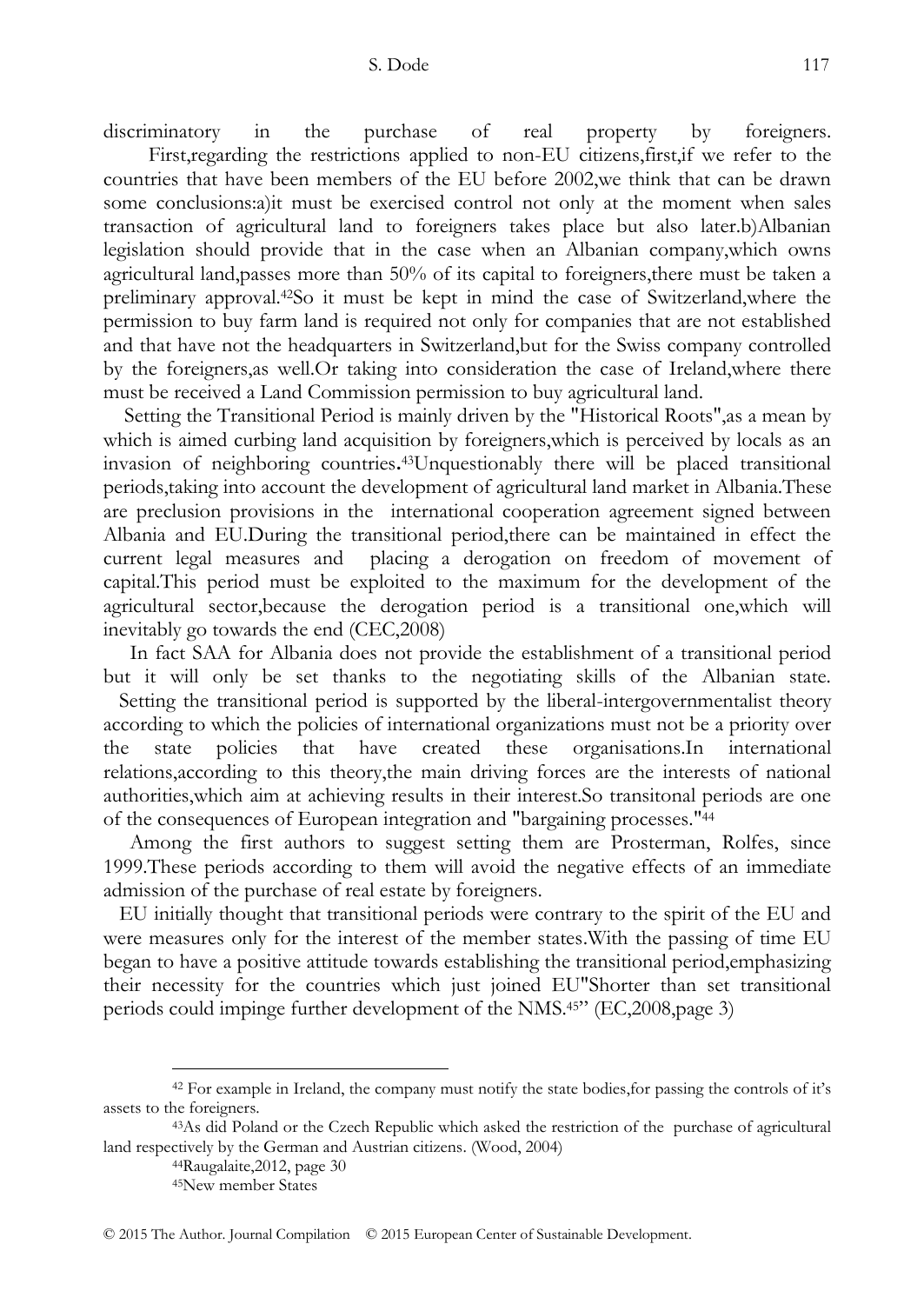discriminatory in the purchase of real property by foreigners.

 First,regarding the restrictions applied to non-EU citizens,first,if we refer to the countries that have been members of the EU before 2002,we think that can be drawn some conclusions:a)it must be exercised control not only at the moment when sales transaction of agricultural land to foreigners takes place but also later.b)Albanian legislation should provide that in the case when an Albanian company,which owns agricultural land,passes more than 50% of its capital to foreigners,there must be taken a preliminary approval.42So it must be kept in mind the case of Switzerland,where the permission to buy farm land is required not only for companies that are not established and that have not the headquarters in Switzerland,but for the Swiss company controlled by the foreigners,as well.Or taking into consideration the case of Ireland,where there must be received a Land Commission permission to buy agricultural land.

Setting the Transitional Period is mainly driven by the "Historical Roots",as a mean by which is aimed curbing land acquisition by foreigners,which is perceived by locals as an invasion of neighboring countries**.** <sup>43</sup>Unquestionably there will be placed transitional periods,taking into account the development of agricultural land market in Albania.These are preclusion provisions in the international cooperation agreement signed between Albania and EU.During the transitional period,there can be maintained in effect the current legal measures and placing a derogation on freedom of movement of capital.This period must be exploited to the maximum for the development of the agricultural sector,because the derogation period is a transitional one,which will inevitably go towards the end (CEC,2008)

 In fact SAA for Albania does not provide the establishment of a transitional period but it will only be set thanks to the negotiating skills of the Albanian state. Setting the transitional period is supported by the liberal-intergovernmentalist theory according to which the policies of international organizations must not be a priority over the state policies that have created these organisations.In international relations,according to this theory,the main driving forces are the interests of national authorities,which aim at achieving results in their interest.So transitonal periods are one of the consequences of European integration and "bargaining processes."<sup>44</sup>

 Among the first authors to suggest setting them are Prosterman, Rolfes, since 1999.These periods according to them will avoid the negative effects of an immediate admission of the purchase of real estate by foreigners.

 EU initially thought that transitional periods were contrary to the spirit of the EU and were measures only for the interest of the member states.With the passing of time EU began to have a positive attitude towards establishing the transitional period,emphasizing their necessity for the countries which just joined EU"Shorter than set transitional periods could impinge further development of the NMS.<sup>45</sup>" (EC,2008,page 3)

<sup>42</sup> For example in Ireland, the company must notify the state bodies,for passing the controls of it's assets to the foreigners.

<sup>43</sup>As did Poland or the Czech Republic which asked the restriction of the purchase of agricultural land respectively by the German and Austrian citizens. (Wood, 2004)

<sup>44</sup>Raugalaite,2012, page 30

<sup>45</sup>New member States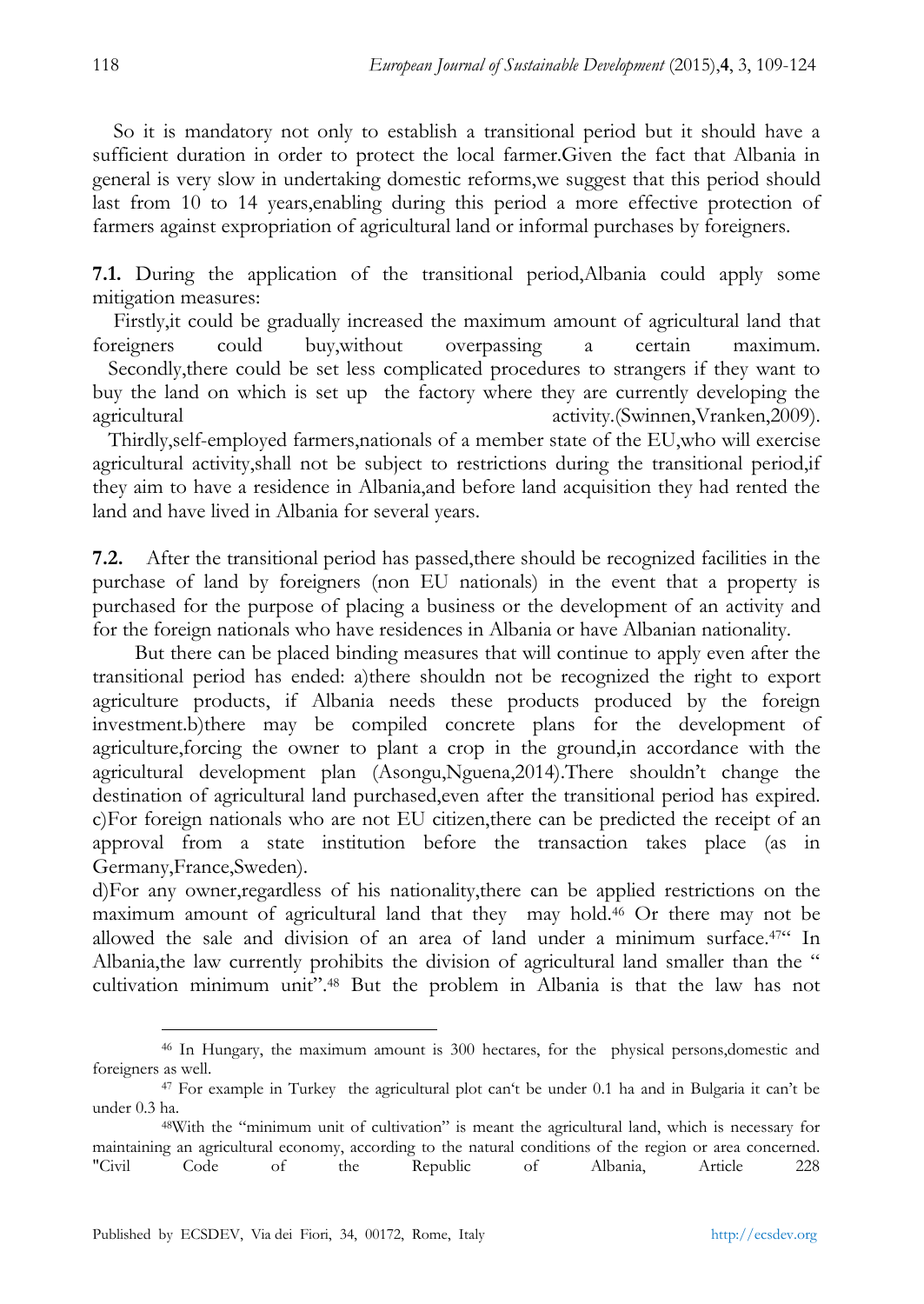So it is mandatory not only to establish a transitional period but it should have a sufficient duration in order to protect the local farmer.Given the fact that Albania in general is very slow in undertaking domestic reforms,we suggest that this period should last from 10 to 14 years,enabling during this period a more effective protection of farmers against expropriation of agricultural land or informal purchases by foreigners.

**7.1.** During the application of the transitional period,Albania could apply some mitigation measures:

Firstly, it could be gradually increased the maximum amount of agricultural land that foreigners could buy,without overpassing a certain maximum.

 Secondly,there could be set less complicated procedures to strangers if they want to buy the land on which is set up the factory where they are currently developing the agricultural activity.(Swinnen,Vranken,2009).

 Thirdly,self-employed farmers,nationals of a member state of the EU,who will exercise agricultural activity,shall not be subject to restrictions during the transitional period,if they aim to have a residence in Albania,and before land acquisition they had rented the land and have lived in Albania for several years.

**7.2.** After the transitional period has passed,there should be recognized facilities in the purchase of land by foreigners (non EU nationals) in the event that a property is purchased for the purpose of placing a business or the development of an activity and for the foreign nationals who have residences in Albania or have Albanian nationality.

 But there can be placed binding measures that will continue to apply even after the transitional period has ended: a)there shouldn not be recognized the right to export agriculture products, if Albania needs these products produced by the foreign investment.b)there may be compiled concrete plans for the development of agriculture,forcing the owner to plant a crop in the ground,in accordance with the agricultural development plan (Asongu,Nguena,2014).There shouldn't change the destination of agricultural land purchased,even after the transitional period has expired. c)For foreign nationals who are not EU citizen,there can be predicted the receipt of an approval from a state institution before the transaction takes place (as in Germany,France,Sweden).

d)For any owner,regardless of his nationality,there can be applied restrictions on the maximum amount of agricultural land that they may hold.<sup>46</sup> Or there may not be allowed the sale and division of an area of land under a minimum surface.<sup>47"</sup> In Albania, the law currently prohibits the division of agricultural land smaller than the " cultivation minimum unit".<sup>48</sup> But the problem in Albania is that the law has not

<sup>46</sup> In Hungary, the maximum amount is 300 hectares, for the physical persons,domestic and foreigners as well.

<sup>&</sup>lt;sup>47</sup> For example in Turkey the agricultural plot can't be under 0.1 ha and in Bulgaria it can't be under 0.3 ha.

<sup>48</sup>With the "minimum unit of cultivation" is meant the agricultural land, which is necessary for maintaining an agricultural economy, according to the natural conditions of the region or area concerned. "Civil Code of the Republic of Albania, Article 228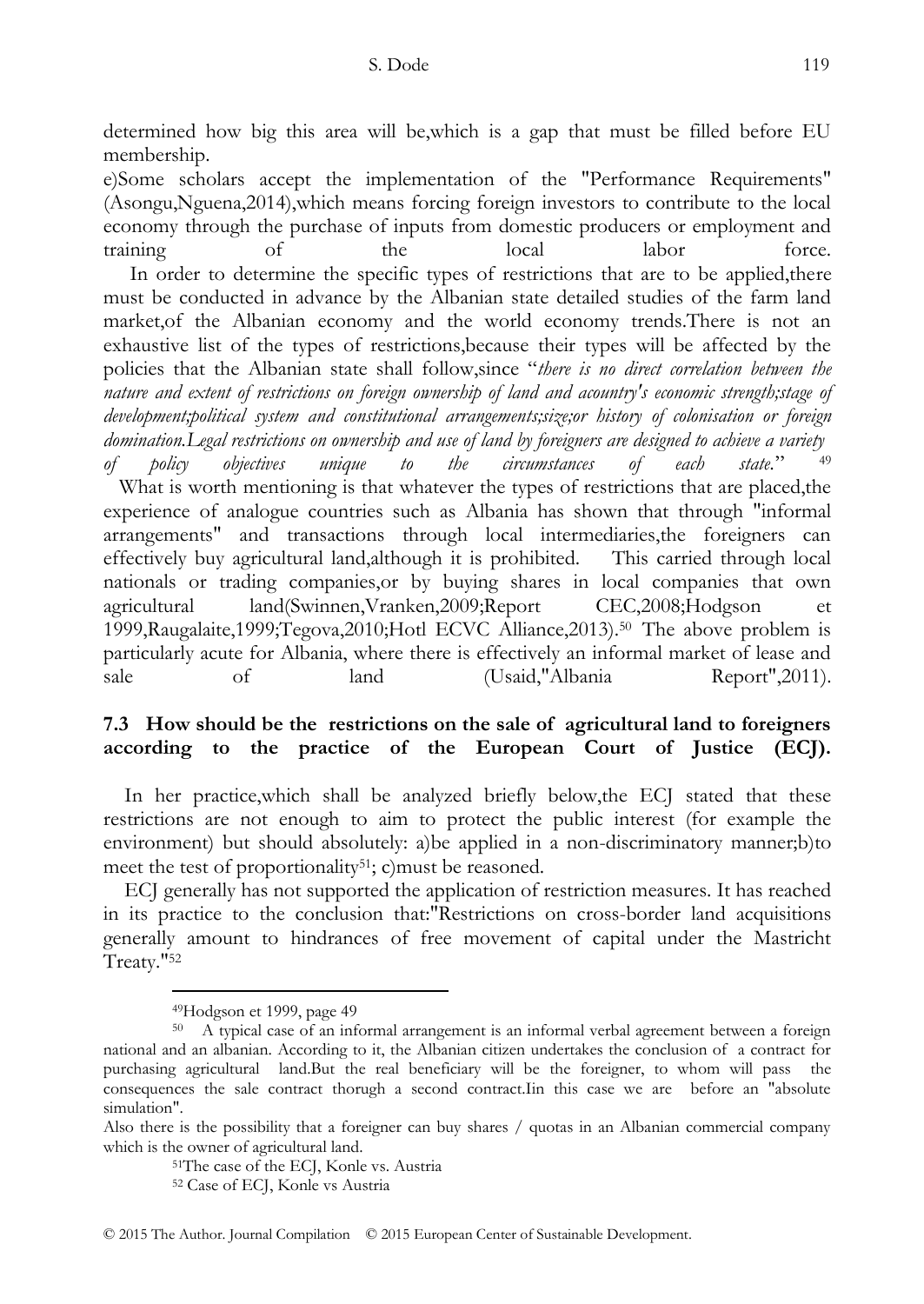determined how big this area will be,which is a gap that must be filled before EU membership.

e)Some scholars accept the implementation of the "Performance Requirements" (Asongu,Nguena,2014),which means forcing foreign investors to contribute to the local economy through the purchase of inputs from domestic producers or employment and<br>training of the local labor force. training of the local labor force. In order to determine the specific types of restrictions that are to be applied,there must be conducted in advance by the Albanian state detailed studies of the farm land market,of the Albanian economy and the world economy trends.There is not an exhaustive list of the types of restrictions,because their types will be affected by the policies that the Albanian state shall follow, since "there is no direct correlation between the *nature and extent of restrictions on foreign ownership of land and acountry's economic strength;stage of development;political system and constitutional arrangements;size;or history of colonisation or foreign domination.Legal restrictions on ownership and use of land by foreigners are designed to achieve a variety*

*of policy objectives unique to the circumstances of each state.*‖ <sup>49</sup> What is worth mentioning is that whatever the types of restrictions that are placed,the experience of analogue countries such as Albania has shown that through "informal arrangements" and transactions through local intermediaries,the foreigners can effectively buy agricultural land,although it is prohibited. This carried through local nationals or trading companies,or by buying shares in local companies that own agricultural land(Swinnen,Vranken,2009;Report CEC,2008;Hodgson et 1999,Raugalaite,1999;Tegova,2010;Hotl ECVC Alliance,2013).<sup>50</sup> The above problem is particularly acute for Albania, where there is effectively an informal market of lease and sale of land (Usaid,"Albania Report",2011).

# **7.3 How should be the restrictions on the sale of agricultural land to foreigners according to the practice of the European Court of Justice (ECJ).**

In her practice, which shall be analyzed briefly below, the ECJ stated that these restrictions are not enough to aim to protect the public interest (for example the environment) but should absolutely: a)be applied in a non-discriminatory manner;b)to meet the test of proportionality<sup>51</sup>; c) must be reasoned.

 ECJ generally has not supported the application of restriction measures. It has reached in its practice to the conclusion that:"Restrictions on cross-border land acquisitions generally amount to hindrances of free movement of capital under the Mastricht Treaty."<sup>52</sup>

<sup>49</sup>Hodgson et 1999, page 49

<sup>50</sup> A typical case of an informal arrangement is an informal verbal agreement between a foreign national and an albanian. According to it, the Albanian citizen undertakes the conclusion of a contract for purchasing agricultural land.But the real beneficiary will be the foreigner, to whom will pass the consequences the sale contract thorugh a second contract.Iin this case we are before an "absolute simulation".

Also there is the possibility that a foreigner can buy shares / quotas in an Albanian commercial company which is the owner of agricultural land.

<sup>51</sup>The case of the ECJ, Konle vs. Austria

<sup>52</sup> Case of ECJ, Konle vs Austria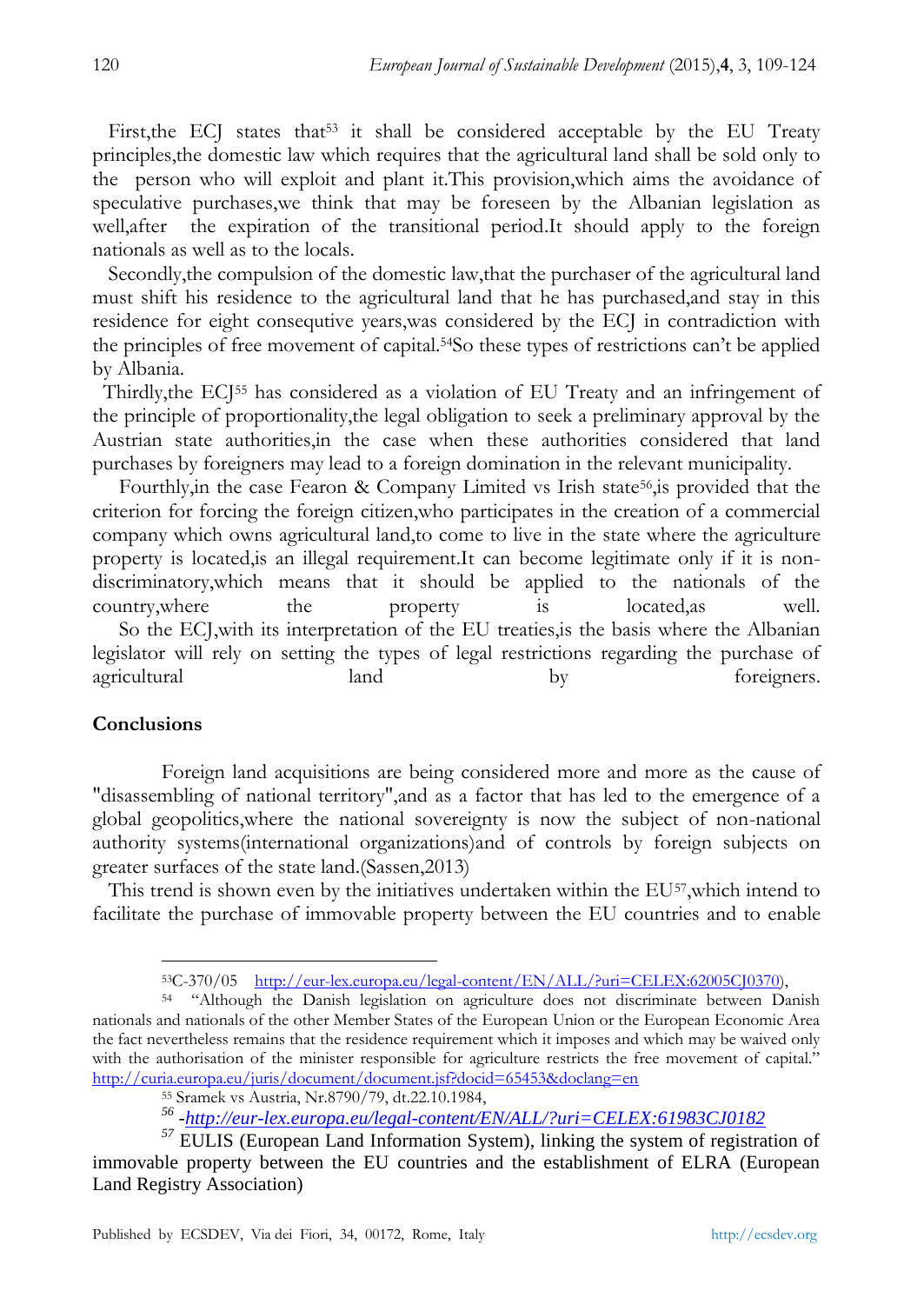First, the ECJ states that<sup>53</sup> it shall be considered acceptable by the EU Treaty principles,the domestic law which requires that the agricultural land shall be sold only to the person who will exploit and plant it.This provision,which aims the avoidance of speculative purchases,we think that may be foreseen by the Albanian legislation as well,after the expiration of the transitional period.It should apply to the foreign nationals as well as to the locals.

 Secondly,the compulsion of the domestic law,that the purchaser of the agricultural land must shift his residence to the agricultural land that he has purchased,and stay in this residence for eight consequtive years,was considered by the ECJ in contradiction with the principles of free movement of capital.54So these types of restrictions can't be applied by Albania.

 Thirdly,the ECJ<sup>55</sup> has considered as a violation of EU Treaty and an infringement of the principle of proportionality,the legal obligation to seek a preliminary approval by the Austrian state authorities,in the case when these authorities considered that land purchases by foreigners may lead to a foreign domination in the relevant municipality.

Fourthly, in the case Fearon & Company Limited vs Irish state<sup>56</sup>, is provided that the criterion for forcing the foreign citizen,who participates in the creation of a commercial company which owns agricultural land,to come to live in the state where the agriculture property is located,is an illegal requirement.It can become legitimate only if it is nondiscriminatory,which means that it should be applied to the nationals of the country,where the property is located,as well. So the ECJ,with its interpretation of the EU treaties,is the basis where the Albanian legislator will rely on setting the types of legal restrictions regarding the purchase of agricultural land land by foreigners.

## **Conclusions**

Foreign land acquisitions are being considered more and more as the cause of "disassembling of national territory",and as a factor that has led to the emergence of a global geopolitics,where the national sovereignty is now the subject of non-national authority systems(international organizations)and of controls by foreign subjects on greater surfaces of the state land.(Sassen,2013)

This trend is shown even by the initiatives undertaken within the EU57, which intend to facilitate the purchase of immovable property between the EU countries and to enable

<sup>&</sup>lt;u>.</u> <sup>53</sup>C-370/05 [http://eur-lex.europa.eu/legal-content/EN/ALL/?uri=CELEX:62005CJ0370\)](http://eur-lex.europa.eu/legal-content/EN/ALL/?uri=CELEX:62005CJ0370),

<sup>&</sup>lt;sup>54</sup> "Although the Danish legislation on agriculture does not discriminate between Danish nationals and nationals of the other Member States of the European Union or the European Economic Area the fact nevertheless remains that the residence requirement which it imposes and which may be waived only with the authorisation of the minister responsible for agriculture restricts the free movement of capital." <http://curia.europa.eu/juris/document/document.jsf?docid=65453&doclang=en>

<sup>55</sup> Sramek vs Austria, Nr.8790/79, dt.22.10.1984,

*<sup>56</sup> [-http://eur-lex.europa.eu/legal-content/EN/ALL/?uri=CELEX:61983CJ0182](http://eur-lex.europa.eu/legal-content/EN/ALL/?uri=CELEX:61983CJ0182)*

*<sup>57</sup>* EULIS (European Land Information System), linking the system of registration of immovable property between the EU countries and the establishment of ELRA (European Land Registry Association)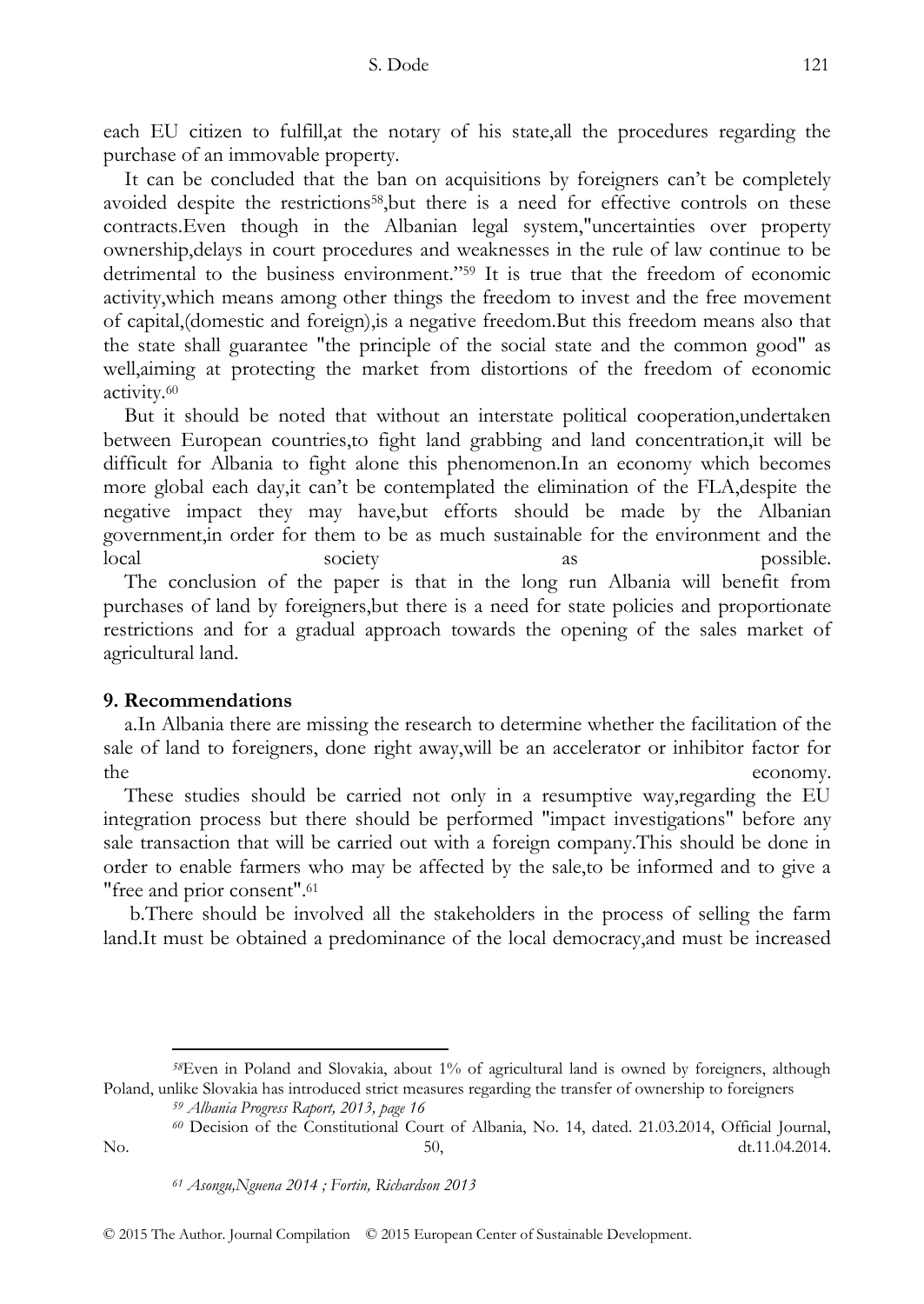each EU citizen to fulfill,at the notary of his state,all the procedures regarding the purchase of an immovable property.

 It can be concluded that the ban on acquisitions by foreigners can't be completely avoided despite the restrictions58,but there is a need for effective controls on these contracts.Even though in the Albanian legal system,"uncertainties over property ownership,delays in court procedures and weaknesses in the rule of law continue to be detrimental to the business environment.<sup> $259$ </sup> It is true that the freedom of economic activity,which means among other things the freedom to invest and the free movement of capital,(domestic and foreign),is a negative freedom.But this freedom means also that the state shall guarantee "the principle of the social state and the common good" as well,aiming at protecting the market from distortions of the freedom of economic activity.<sup>60</sup>

 But it should be noted that without an interstate political cooperation,undertaken between European countries,to fight land grabbing and land concentration,it will be difficult for Albania to fight alone this phenomenon.In an economy which becomes more global each day,it can't be contemplated the elimination of the FLA,despite the negative impact they may have,but efforts should be made by the Albanian government,in order for them to be as much sustainable for the environment and the local society as a possible. The conclusion of the paper is that in the long run Albania will benefit from purchases of land by foreigners,but there is a need for state policies and proportionate restrictions and for a gradual approach towards the opening of the sales market of agricultural land.

## **9. Recommendations**

-

 a.In Albania there are missing the research to determine whether the facilitation of the sale of land to foreigners, done right away,will be an accelerator or inhibitor factor for the economy.

 These studies should be carried not only in a resumptive way,regarding the EU integration process but there should be performed "impact investigations" before any sale transaction that will be carried out with a foreign company.This should be done in order to enable farmers who may be affected by the sale,to be informed and to give a "free and prior consent".<sup>61</sup>

 b.There should be involved all the stakeholders in the process of selling the farm land.It must be obtained a predominance of the local democracy,and must be increased

*<sup>58</sup>*Even in Poland and Slovakia, about 1% of agricultural land is owned by foreigners, although Poland, unlike Slovakia has introduced strict measures regarding the transfer of ownership to foreigners

*<sup>59</sup> Albania Progress Raport, 2013, page 16*

*<sup>60</sup>* Decision of the Constitutional Court of Albania, No. 14, dated. 21.03.2014, Official Journal, No. **12.11.04.2014** 1.11.04.2014

*<sup>61</sup> Asongu,Nguena 2014 ; Fortin, Richardson 2013*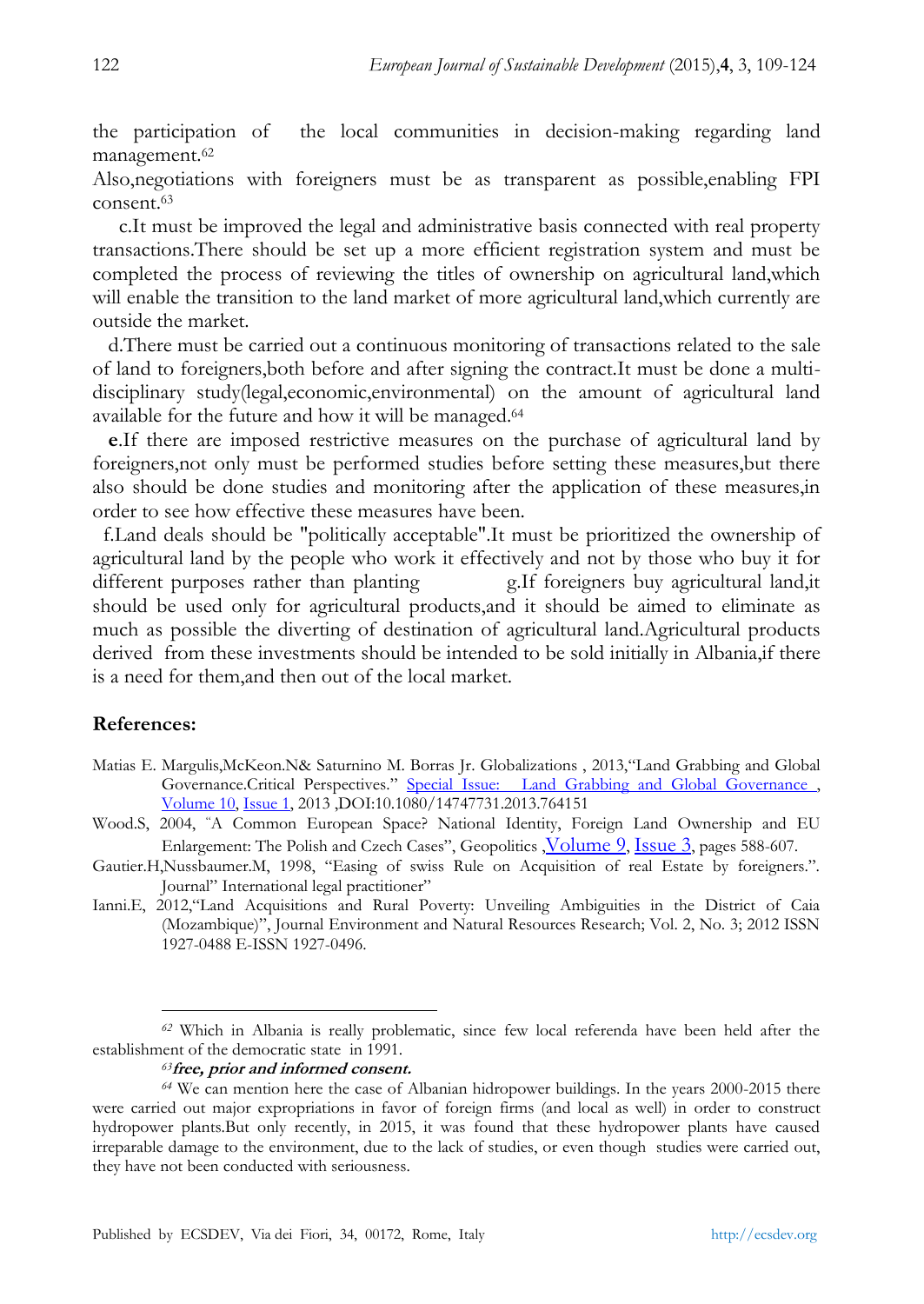the participation of the local communities in decision-making regarding land management.<sup>62</sup>

Also,negotiations with foreigners must be as transparent as possible,enabling FPI consent.<sup>63</sup>

 c.It must be improved the legal and administrative basis connected with real property transactions.There should be set up a more efficient registration system and must be completed the process of reviewing the titles of ownership on agricultural land,which will enable the transition to the land market of more agricultural land,which currently are outside the market.

 d.There must be carried out a continuous monitoring of transactions related to the sale of land to foreigners,both before and after signing the contract.It must be done a multidisciplinary study(legal,economic,environmental) on the amount of agricultural land available for the future and how it will be managed.<sup>64</sup>

 **e**.If there are imposed restrictive measures on the purchase of agricultural land by foreigners,not only must be performed studies before setting these measures,but there also should be done studies and monitoring after the application of these measures,in order to see how effective these measures have been.

 f.Land deals should be "politically acceptable".It must be prioritized the ownership of agricultural land by the people who work it effectively and not by those who buy it for different purposes rather than planting g.If foreigners buy agricultural land,it should be used only for agricultural products,and it should be aimed to eliminate as much as possible the diverting of destination of agricultural land.Agricultural products derived from these investments should be intended to be sold initially in Albania,if there is a need for them,and then out of the local market.

#### **References:**

-

- Matias E. Margulis, McKeon. N& Saturnino M. Borras Jr. Globalizations , 2013, "Land Grabbing and Global Governance.Critical Perspectives." Special Issue: Land Grabbing and Global Governance, [Volume 10,](http://www.tandfonline.com/loi/rglo20?open=10#vol_10) [Issue 1,](http://www.tandfonline.com/toc/rglo20/10/1) 2013 ,DOI:10.1080/14747731.2013.764151
- Wood.S, 2004, "A Common European Space? National Identity, Foreign Land Ownership and EU Enlargement: The Polish and Czech Cases", Geopolitics , [Volume 9](http://www.tandfonline.com/loi/fgeo20?open=9#vol_9), [Issue 3](http://www.tandfonline.com/toc/fgeo20/9/3), pages 588-607.
- Gautier.H,Nussbaumer.M, 1998, "Easing of swiss Rule on Acquisition of real Estate by foreigners.". Journal" International legal practitioner"
- Ianni.E, 2012,"Land Acquisitions and Rural Poverty: Unveiling Ambiguities in the District of Caia (Mozambique)‖, Journal Environment and Natural Resources Research; Vol. 2, No. 3; 2012 ISSN 1927-0488 E-ISSN 1927-0496.

*<sup>63</sup>***free, prior and informed consent.**

*<sup>62</sup>* Which in Albania is really problematic, since few local referenda have been held after the establishment of the democratic state in 1991.

*<sup>64</sup>* We can mention here the case of Albanian hidropower buildings. In the years 2000-2015 there were carried out major expropriations in favor of foreign firms (and local as well) in order to construct hydropower plants.But only recently, in 2015, it was found that these hydropower plants have caused irreparable damage to the environment, due to the lack of studies, or even though studies were carried out, they have not been conducted with seriousness.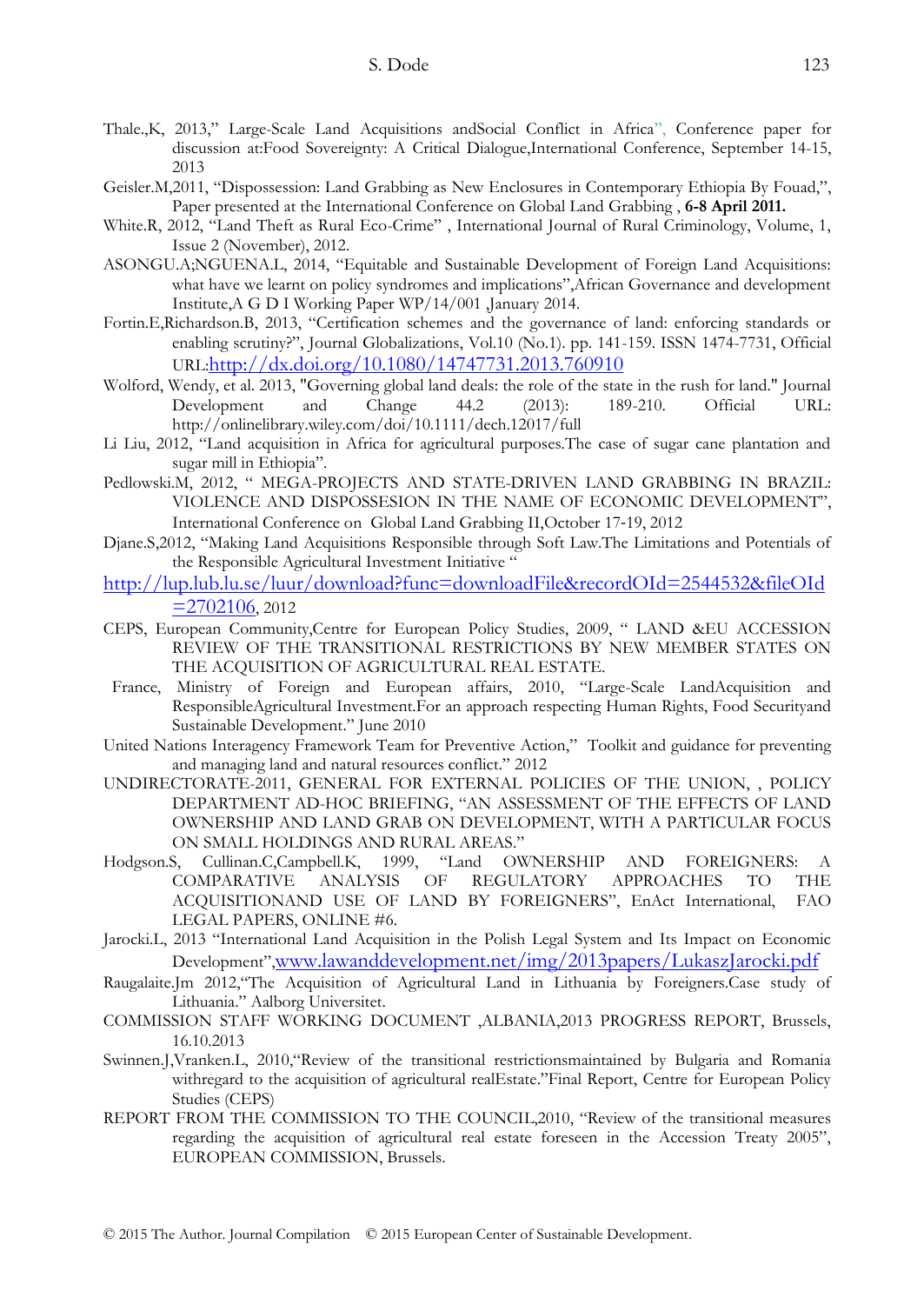- Thale.,K, 2013," Large-Scale Land Acquisitions andSocial Conflict in Africa", Conference paper for discussion at:Food Sovereignty: A Critical Dialogue,International Conference, September 14-15, 2013
- Geisler.M,2011, "Dispossession: Land Grabbing as New Enclosures in Contemporary Ethiopia By Fouad,", Paper presented at the International Conference on Global Land Grabbing , **6-8 April 2011.**
- White.R, 2012, "Land Theft as Rural Eco-Crime", International Journal of Rural Criminology, Volume, 1, Issue 2 (November), 2012.
- ASONGU.A;NGUENA.L, 2014, "Equitable and Sustainable Development of Foreign Land Acquisitions: what have we learnt on policy syndromes and implications", African Governance and development Institute,A G D I Working Paper WP/14/001 ,January 2014.
- Fortin.E,Richardson.B, 2013, "Certification schemes and the governance of land: enforcing standards or enabling scrutiny?", Journal Globalizations, Vol.10 (No.1). pp. 141-159. ISSN 1474-7731, Official URL:<http://dx.doi.org/10.1080/14747731.2013.760910>
- Wolford, Wendy, et al. 2013, "Governing global land deals: the role of the state in the rush for land." Journal Development and Change 44.2 (2013): 189-210. Official URL: http://onlinelibrary.wiley.com/doi/10.1111/dech.12017/full
- Li Liu, 2012, "Land acquisition in Africa for agricultural purposes. The case of sugar cane plantation and sugar mill in Ethiopia".
- Pedlowski.M, 2012, " MEGA-PROJECTS AND STATE-DRIVEN LAND GRABBING IN BRAZIL: VIOLENCE AND DISPOSSESION IN THE NAME OF ECONOMIC DEVELOPMENT‖, International Conference on Global Land Grabbing II,October 17‐19, 2012
- Djane.S,2012, "Making Land Acquisitions Responsible through Soft Law.The Limitations and Potentials of the Responsible Agricultural Investment Initiative "
- [http://lup.lub.lu.se/luur/download?func=downloadFile&recordOId=2544532&fileOId](http://lup.lub.lu.se/luur/download?func=downloadFile&recordOId=2544532&fileOId=2702106)  $=2702106, 2012$  $=2702106, 2012$
- CEPS, European Community,Centre for European Policy Studies, 2009, " LAND &EU ACCESSION REVIEW OF THE TRANSITIONAL RESTRICTIONS BY NEW MEMBER STATES ON THE ACQUISITION OF AGRICULTURAL REAL ESTATE.
- France, Ministry of Foreign and European affairs, 2010, "Large-Scale LandAcquisition and ResponsibleAgricultural Investment.For an approach respecting Human Rights, Food Securityand Sustainable Development." June 2010
- United Nations Interagency Framework Team for Preventive Action," Toolkit and guidance for preventing and managing land and natural resources conflict." 2012
- UNDIRECTORATE-2011, GENERAL FOR EXTERNAL POLICIES OF THE UNION, , POLICY DEPARTMENT AD-HOC BRIEFING, "AN ASSESSMENT OF THE EFFECTS OF LAND OWNERSHIP AND LAND GRAB ON DEVELOPMENT, WITH A PARTICULAR FOCUS ON SMALL HOLDINGS AND RURAL AREAS."
- Hodgson.S, Cullinan.C,Campbell.K, 1999, "Land OWNERSHIP AND FOREIGNERS: A COMPARATIVE ANALYSIS OF REGULATORY APPROACHES TO THE ACQUISITIONAND USE OF LAND BY FOREIGNERS", EnAct International, FAO LEGAL PAPERS, ONLINE #6.
- Jarocki.L, 2013 "International Land Acquisition in the Polish Legal System and Its Impact on Economic Development",[www.lawanddevelopment.net/img/2013papers/LukaszJarocki.pdf](http://www.lawanddevelopment.net/img/2013papers/LukaszJarocki.pdf)
- Raugalaite.Jm 2012, "The Acquisition of Agricultural Land in Lithuania by Foreigners.Case study of Lithuania." Aalborg Universitet.
- COMMISSION STAFF WORKING DOCUMENT ,ALBANIA,2013 PROGRESS REPORT, Brussels, 16.10.2013
- Swinnen.J,Vranken.L, 2010, "Review of the transitional restrictionsmaintained by Bulgaria and Romania withregard to the acquisition of agricultural realEstate."Final Report, Centre for European Policy Studies (CEPS)
- REPORT FROM THE COMMISSION TO THE COUNCIL, 2010, "Review of the transitional measures regarding the acquisition of agricultural real estate foreseen in the Accession Treaty 2005", EUROPEAN COMMISSION, Brussels.